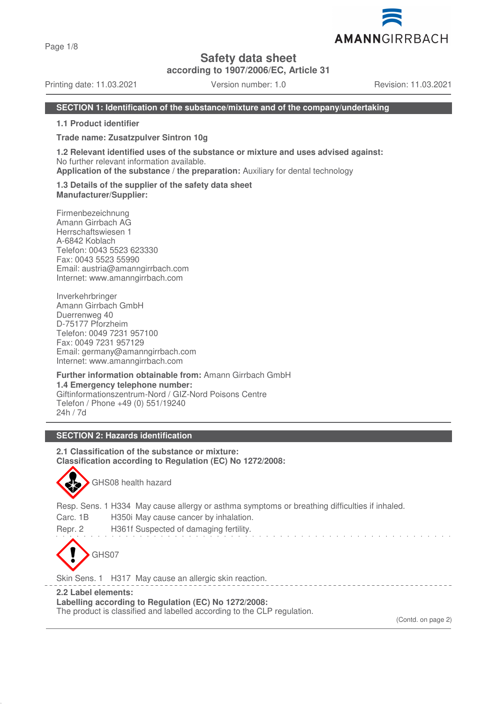Page 1/8

## **Safety data sheet**

**according to 1907/2006/EC, Article 31**

Printing date: 11.03.2021 Version number: 1.0 Revision: 11.03.2021

AMANNGIRRBACH

### **SECTION 1: Identification of the substance/mixture and of the company/undertaking**

**1.1 Product identifier**

**Trade name: Zusatzpulver Sintron 10g**

**1.2 Relevant identified uses of the substance or mixture and uses advised against:** No further relevant information available.

**Application of the substance / the preparation:** Auxiliary for dental technology

**1.3 Details of the supplier of the safety data sheet Manufacturer/Supplier:**

Firmenbezeichnung Amann Girrbach AG Herrschaftswiesen 1 A-6842 Koblach Telefon: 0043 5523 623330 Fax: 0043 5523 55990 Email: austria@amanngirrbach.com Internet: www.amanngirrbach.com

Inverkehrbringer Amann Girrbach GmbH Duerrenweg 40 D-75177 Pforzheim Telefon: 0049 7231 957100 Fax: 0049 7231 957129 Email: germany@amanngirrbach.com Internet: www.amanngirrbach.com

**Further information obtainable from:** Amann Girrbach GmbH **1.4 Emergency telephone number:** Giftinformationszentrum-Nord / GIZ-Nord Poisons Centre Telefon / Phone +49 (0) 551/19240 24h / 7d

## **SECTION 2: Hazards identification**

**2.1 Classification of the substance or mixture: Classification according to Regulation (EC) No 1272/2008:**



GHS08 health hazard

Resp. Sens. 1 H334 May cause allergy or asthma symptoms or breathing difficulties if inhaled.

Carc. 1B H350i May cause cancer by inhalation.

Repr. 2 H361f Suspected of damaging fertility.



Skin Sens. 1 H317 May cause an allergic skin reaction.

**2.2 Label elements:**

**Labelling according to Regulation (EC) No 1272/2008:**

The product is classified and labelled according to the CLP regulation.

(Contd. on page 2)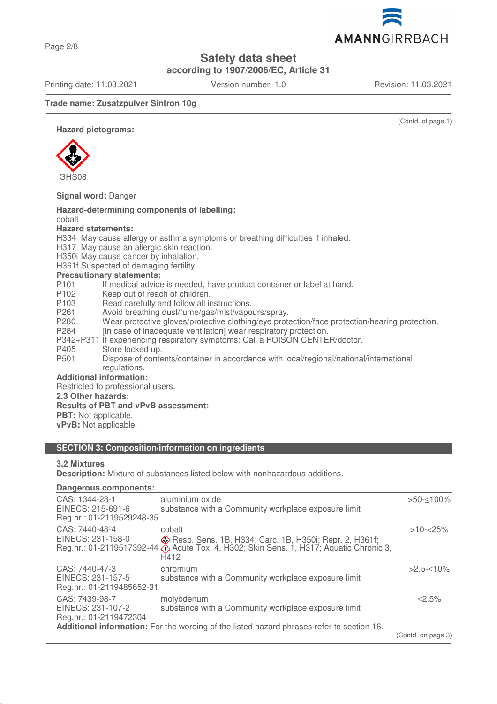Page 2/8

## **Safety data sheet**

**according to 1907/2006/EC, Article 31**

Printing date: 11.03.2021 Version number: 1.0 Revision: 11.03.2021

AMANNGIRRBACH

### **Trade name: Zusatzpulver Sintron 10g**

(Contd. of page 1)

**Hazard pictograms:**



### **Signal word:** Danger

#### **Hazard-determining components of labelling:** cobalt **Hazard statements:** H334 May cause allergy or asthma symptoms or breathing difficulties if inhaled. H317 May cause an allergic skin reaction. H350i May cause cancer by inhalation. H361f Suspected of damaging fertility. **Precautionary statements:** P101 If medical advice is needed, have product container or label at hand.<br>P102 Keep out of reach of children. P102 Keep out of reach of children.<br>P103 Read carefully and follow all in Read carefully and follow all instructions. P261 Avoid breathing dust/fume/gas/mist/vapours/spray. P280 Wear protective gloves/protective clothing/eye protection/face protection/hearing protection. P284 [In case of inadequate ventilation] wear respiratory protection. P342+P311 If experiencing respiratory symptoms: Call a POISON CENTER/doctor. P405 Store locked up.<br>P501 Dispose of conte Dispose of contents/container in accordance with local/regional/national/international regulations. **Additional information:** Restricted to professional users. **2.3 Other hazards: Results of PBT and vPvB assessment: PBT:** Not applicable. **vPvB:** Not applicable.

### **SECTION 3: Composition/information on ingredients**

### **3.2 Mixtures**

**Description:** Mixture of substances listed below with nonhazardous additions.

#### **Dangerous components:**

| CAS: 1344-28-1                                                                            | aluminium oxide                                                                                        | $>50 - 100\%$      |  |
|-------------------------------------------------------------------------------------------|--------------------------------------------------------------------------------------------------------|--------------------|--|
| EINECS: 215-691-6                                                                         | substance with a Community workplace exposure limit                                                    |                    |  |
| Reg.nr.: 01-2119529248-35                                                                 |                                                                                                        |                    |  |
| CAS: 7440-48-4                                                                            | cobalt                                                                                                 | $>10 - 25\%$       |  |
| EINECS: 231-158-0                                                                         | <b>Example 2. Hosp.</b> Sens. 1B, H334; Carc. 1B, H350i; Repr. 2, H361f;                               |                    |  |
|                                                                                           | Reg.nr.: 01-2119517392-44 $\ddot{\diamond}$ Acute Tox. 4, H302; Skin Sens. 1, H317; Aquatic Chronic 3, |                    |  |
|                                                                                           | H412                                                                                                   |                    |  |
| CAS: 7440-47-3                                                                            | chromium                                                                                               | $>2.5<10\%$        |  |
| EINECS: 231-157-5                                                                         | substance with a Community workplace exposure limit                                                    |                    |  |
| Reg.nr.: 01-2119485652-31                                                                 |                                                                                                        |                    |  |
| CAS: 7439-98-7                                                                            | molybdenum                                                                                             | < 2.5%             |  |
| EINECS: 231-107-2                                                                         | substance with a Community workplace exposure limit                                                    |                    |  |
| Reg.nr.: 01-2119472304                                                                    |                                                                                                        |                    |  |
| Additional information: For the wording of the listed hazard phrases refer to section 16. |                                                                                                        |                    |  |
|                                                                                           |                                                                                                        | (Contd. on page 3) |  |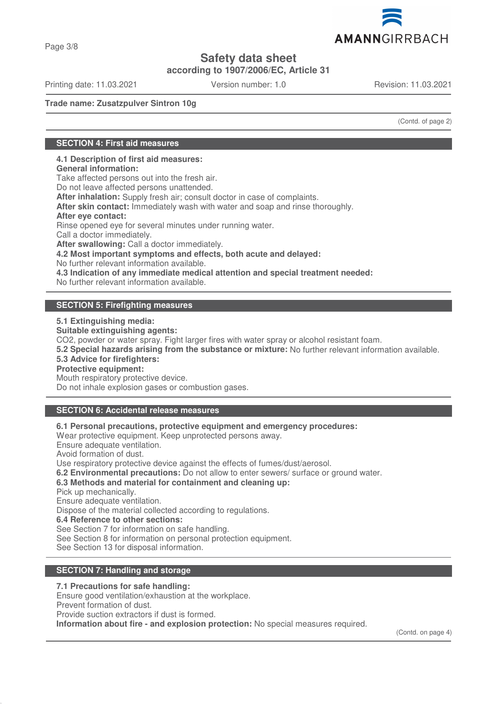

Page 3/8

# **Safety data sheet**

**according to 1907/2006/EC, Article 31**

Printing date: 11.03.2021 Version number: 1.0 Revision: 11.03.2021

**Trade name: Zusatzpulver Sintron 10g**

(Contd. of page 2)

## **SECTION 4: First aid measures**

### **4.1 Description of first aid measures:**

**General information:**

Take affected persons out into the fresh air.

Do not leave affected persons unattended.

**After inhalation:** Supply fresh air; consult doctor in case of complaints.

**After skin contact:** Immediately wash with water and soap and rinse thoroughly.

### **After eye contact:**

Rinse opened eye for several minutes under running water.

Call a doctor immediately.

**After swallowing:** Call a doctor immediately.

**4.2 Most important symptoms and effects, both acute and delayed:**

No further relevant information available.

**4.3 Indication of any immediate medical attention and special treatment needed:**

No further relevant information available.

## **SECTION 5: Firefighting measures**

**5.1 Extinguishing media:**

**Suitable extinguishing agents:**

CO2, powder or water spray. Fight larger fires with water spray or alcohol resistant foam.

**5.2 Special hazards arising from the substance or mixture:** No further relevant information available.

### **5.3 Advice for firefighters:**

### **Protective equipment:**

Mouth respiratory protective device.

Do not inhale explosion gases or combustion gases.

## **SECTION 6: Accidental release measures**

**6.1 Personal precautions, protective equipment and emergency procedures:**

Wear protective equipment. Keep unprotected persons away.

Ensure adequate ventilation.

Avoid formation of dust.

Use respiratory protective device against the effects of fumes/dust/aerosol.

**6.2 Environmental precautions:** Do not allow to enter sewers/ surface or ground water.

**6.3 Methods and material for containment and cleaning up:**

Pick up mechanically.

Ensure adequate ventilation.

Dispose of the material collected according to regulations.

**6.4 Reference to other sections:**

See Section 7 for information on safe handling.

See Section 8 for information on personal protection equipment.

See Section 13 for disposal information.

## **SECTION 7: Handling and storage**

**7.1 Precautions for safe handling:**

Ensure good ventilation/exhaustion at the workplace.

Prevent formation of dust.

Provide suction extractors if dust is formed.

**Information about fire - and explosion protection:** No special measures required.

(Contd. on page 4)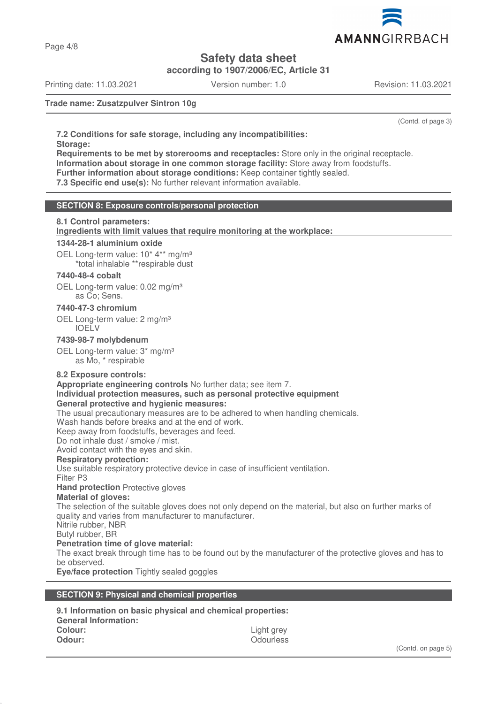

Page 4/8

# **Safety data sheet**

**according to 1907/2006/EC, Article 31**

Printing date: 11.03.2021 Version number: 1.0 Revision: 11.03.2021

**Trade name: Zusatzpulver Sintron 10g**

(Contd. of page 3)

**7.2 Conditions for safe storage, including any incompatibilities: Storage:**

**Requirements to be met by storerooms and receptacles:** Store only in the original receptacle. **Information about storage in one common storage facility:** Store away from foodstuffs.

**Further information about storage conditions:** Keep container tightly sealed.

**7.3 Specific end use(s):** No further relevant information available.

## **SECTION 8: Exposure controls/personal protection**

### **8.1 Control parameters:**

**Ingredients with limit values that require monitoring at the workplace:** 

### **1344-28-1 aluminium oxide**

OEL Long-term value: 10<sup>\*</sup> 4<sup>\*\*</sup> mg/m<sup>3</sup>

\*total inhalable \*\*respirable dust

### **7440-48-4 cobalt**

OEL Long-term value: 0.02 mg/m<sup>3</sup> as Co; Sens.

#### **7440-47-3 chromium**

OEL Long-term value: 2 mg/m<sup>3</sup> IOELV

### **7439-98-7 molybdenum**

OEL Long-term value: 3\* mg/m<sup>3</sup> as Mo, \* respirable

### **8.2 Exposure controls:**

**Appropriate engineering controls** No further data; see item 7. **Individual protection measures, such as personal protective equipment General protective and hygienic measures:**

The usual precautionary measures are to be adhered to when handling chemicals.

Wash hands before breaks and at the end of work.

Keep away from foodstuffs, beverages and feed.

Do not inhale dust / smoke / mist. Avoid contact with the eyes and skin.

# **Respiratory protection:**

Use suitable respiratory protective device in case of insufficient ventilation.

Filter P3

### **Hand protection** Protective gloves

### **Material of gloves:**

The selection of the suitable gloves does not only depend on the material, but also on further marks of quality and varies from manufacturer to manufacturer.

Nitrile rubber, NBR

Butyl rubber, BR

**Penetration time of glove material:**

The exact break through time has to be found out by the manufacturer of the protective gloves and has to be observed.

**Eye/face protection** Tightly sealed goggles

### **SECTION 9: Physical and chemical properties**

**9.1 Information on basic physical and chemical properties: General Information: Colour:** Light grey **Odour:** Odourless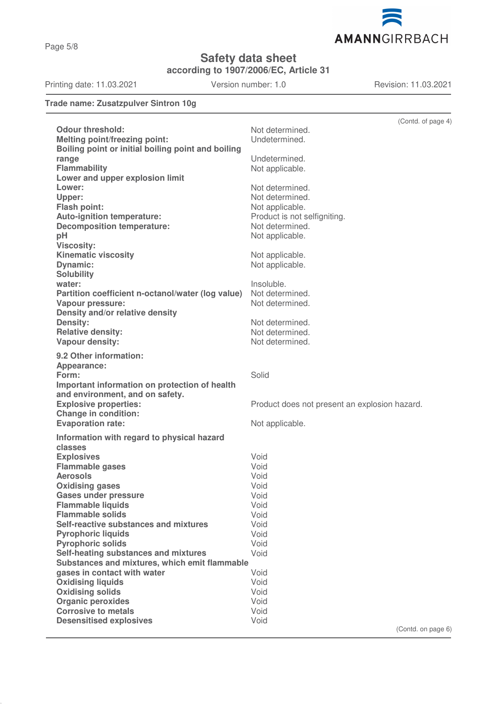

**Safety data sheet**

**according to 1907/2006/EC, Article 31**

Printing date: 11.03.2021 Version number: 1.0 Revision: 11.03.2021

## **Trade name: Zusatzpulver Sintron 10g**

|                                                                        | (Contd. of page 4)                              |
|------------------------------------------------------------------------|-------------------------------------------------|
| <b>Odour threshold:</b>                                                | Not determined.                                 |
| <b>Melting point/freezing point:</b>                                   | Undetermined.                                   |
| Boiling point or initial boiling point and boiling                     |                                                 |
| range                                                                  | Undetermined.                                   |
| Flammability                                                           | Not applicable.                                 |
| Lower and upper explosion limit                                        |                                                 |
| Lower:                                                                 | Not determined.                                 |
| Upper:                                                                 | Not determined.                                 |
| <b>Flash point:</b>                                                    | Not applicable.                                 |
| <b>Auto-ignition temperature:</b><br><b>Decomposition temperature:</b> | Product is not selfigniting.<br>Not determined. |
| pH                                                                     | Not applicable.                                 |
| <b>Viscosity:</b>                                                      |                                                 |
| <b>Kinematic viscosity</b>                                             | Not applicable.                                 |
| Dynamic:                                                               | Not applicable.                                 |
| <b>Solubility</b>                                                      |                                                 |
| water:                                                                 | Insoluble.                                      |
| Partition coefficient n-octanol/water (log value)                      | Not determined.                                 |
| <b>Vapour pressure:</b>                                                | Not determined.                                 |
| Density and/or relative density                                        |                                                 |
| <b>Density:</b>                                                        | Not determined.                                 |
| <b>Relative density:</b>                                               | Not determined.                                 |
| Vapour density:                                                        | Not determined.                                 |
| 9.2 Other information:                                                 |                                                 |
| Appearance:                                                            |                                                 |
| Form:                                                                  | Solid                                           |
| Important information on protection of health                          |                                                 |
| and environment, and on safety.<br><b>Explosive properties:</b>        |                                                 |
| <b>Change in condition:</b>                                            | Product does not present an explosion hazard.   |
| <b>Evaporation rate:</b>                                               | Not applicable.                                 |
| Information with regard to physical hazard                             |                                                 |
| classes                                                                |                                                 |
| <b>Explosives</b>                                                      | Void                                            |
| <b>Flammable gases</b>                                                 | Void                                            |
| <b>Aerosols</b>                                                        | Void                                            |
| <b>Oxidising gases</b>                                                 | Void                                            |
| <b>Gases under pressure</b>                                            | Void                                            |
| <b>Flammable liquids</b>                                               | Void                                            |
| <b>Flammable solids</b>                                                | Void                                            |
| Self-reactive substances and mixtures                                  | Void                                            |
| <b>Pyrophoric liquids</b><br><b>Pyrophoric solids</b>                  | Void<br>Void                                    |
| Self-heating substances and mixtures                                   | Void                                            |
| Substances and mixtures, which emit flammable                          |                                                 |
| gases in contact with water                                            | Void                                            |
| <b>Oxidising liquids</b>                                               | Void                                            |
| <b>Oxidising solids</b>                                                | Void                                            |
| <b>Organic peroxides</b>                                               | Void                                            |
| <b>Corrosive to metals</b>                                             | Void                                            |
| <b>Desensitised explosives</b>                                         | Void                                            |
|                                                                        | (Control, on page 6)                            |

(Contd. on page 6)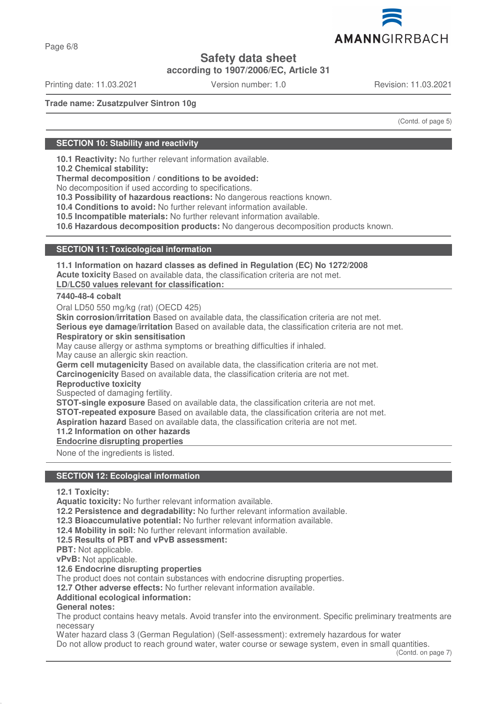

Page 6/8

## **Safety data sheet**

**according to 1907/2006/EC, Article 31**

Printing date: 11.03.2021 Version number: 1.0 Revision: 11.03.2021

**Trade name: Zusatzpulver Sintron 10g**

(Contd. of page 5)

## **SECTION 10: Stability and reactivity**

**10.1 Reactivity:** No further relevant information available.

**10.2 Chemical stability:**

**Thermal decomposition / conditions to be avoided:**

No decomposition if used according to specifications.

**10.3 Possibility of hazardous reactions:** No dangerous reactions known.

**10.4 Conditions to avoid:** No further relevant information available.

**10.5 Incompatible materials:** No further relevant information available.

**10.6 Hazardous decomposition products:** No dangerous decomposition products known.

### **SECTION 11: Toxicological information**

**11.1 Information on hazard classes as defined in Regulation (EC) No 1272/2008 Acute toxicity** Based on available data, the classification criteria are not met.

**LD/LC50 values relevant for classification:** 

### **7440-48-4 cobalt**

Oral LD50 550 mg/kg (rat) (OECD 425)

**Skin corrosion/irritation** Based on available data, the classification criteria are not met.

**Serious eye damage/irritation** Based on available data, the classification criteria are not met. **Respiratory or skin sensitisation**

May cause allergy or asthma symptoms or breathing difficulties if inhaled.

May cause an allergic skin reaction.

**Germ cell mutagenicity** Based on available data, the classification criteria are not met.

**Carcinogenicity** Based on available data, the classification criteria are not met.

**Reproductive toxicity**

Suspected of damaging fertility.

**STOT-single exposure** Based on available data, the classification criteria are not met.

**STOT-repeated exposure** Based on available data, the classification criteria are not met.

**Aspiration hazard** Based on available data, the classification criteria are not met.

## **11.2 Information on other hazards**

**Endocrine disrupting properties** 

None of the ingredients is listed.

### **SECTION 12: Ecological information**

**12.1 Toxicity:**

**Aquatic toxicity:** No further relevant information available.

**12.2 Persistence and degradability:** No further relevant information available.

**12.3 Bioaccumulative potential:** No further relevant information available.

**12.4 Mobility in soil:** No further relevant information available.

**12.5 Results of PBT and vPvB assessment:**

**PBT:** Not applicable.

**vPvB:** Not applicable.

**12.6 Endocrine disrupting properties**

The product does not contain substances with endocrine disrupting properties.

**12.7 Other adverse effects:** No further relevant information available.

**Additional ecological information:**

## **General notes:**

The product contains heavy metals. Avoid transfer into the environment. Specific preliminary treatments are necessary

Water hazard class 3 (German Regulation) (Self-assessment): extremely hazardous for water Do not allow product to reach ground water, water course or sewage system, even in small quantities.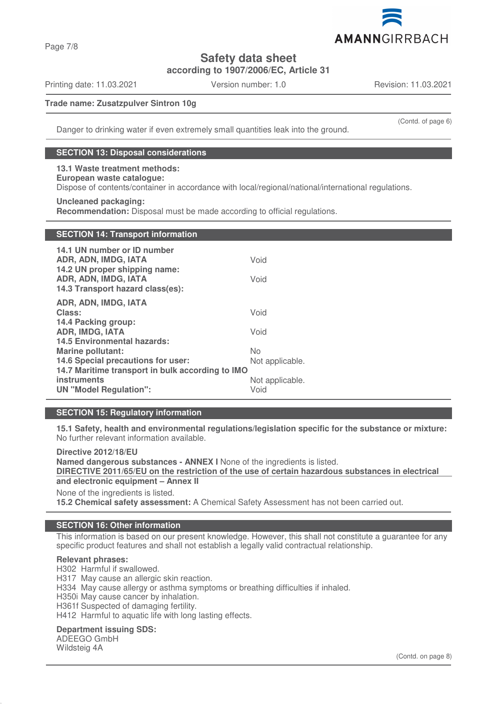

**Safety data sheet**

**according to 1907/2006/EC, Article 31**

Printing date: 11.03.2021 Version number: 1.0 Revision: 11.03.2021

(Contd. of page 6)

### **Trade name: Zusatzpulver Sintron 10g**

Danger to drinking water if even extremely small quantities leak into the ground.

### **SECTION 13: Disposal considerations**

### **13.1 Waste treatment methods:**

# **European waste catalogue:**

Dispose of contents/container in accordance with local/regional/national/international regulations.

#### **Uncleaned packaging:**

**Recommendation:** Disposal must be made according to official regulations.

## **SECTION 14: Transport information**

| 14.1 UN number or ID number<br>ADR, ADN, IMDG, IATA                                       | Void            |  |  |
|-------------------------------------------------------------------------------------------|-----------------|--|--|
| 14.2 UN proper shipping name:<br>ADR, ADN, IMDG, IATA<br>14.3 Transport hazard class(es): | Void            |  |  |
| ADR, ADN, IMDG, IATA                                                                      |                 |  |  |
| Class:                                                                                    | Void            |  |  |
| 14.4 Packing group:                                                                       |                 |  |  |
| <b>ADR, IMDG, IATA</b>                                                                    | Void            |  |  |
| <b>14.5 Environmental hazards:</b>                                                        |                 |  |  |
| <b>Marine pollutant:</b>                                                                  | <b>No</b>       |  |  |
| 14.6 Special precautions for user:                                                        | Not applicable. |  |  |
| 14.7 Maritime transport in bulk according to IMO                                          |                 |  |  |
| <b>instruments</b>                                                                        | Not applicable. |  |  |
| <b>UN</b> "Model Regulation":                                                             | Void            |  |  |

## **SECTION 15: Regulatory information**

**15.1 Safety, health and environmental regulations/legislation specific for the substance or mixture:** No further relevant information available.

**Directive 2012/18/EU Named dangerous substances - ANNEX I** None of the ingredients is listed. **DIRECTIVE 2011/65/EU on the restriction of the use of certain hazardous substances in electrical and electronic equipment – Annex II**

None of the ingredients is listed.

**15.2 Chemical safety assessment:** A Chemical Safety Assessment has not been carried out.

### **SECTION 16: Other information**

This information is based on our present knowledge. However, this shall not constitute a guarantee for any specific product features and shall not establish a legally valid contractual relationship.

### **Relevant phrases:**

H302 Harmful if swallowed.

H317 May cause an allergic skin reaction.

- H334 May cause allergy or asthma symptoms or breathing difficulties if inhaled.
- H350i May cause cancer by inhalation.
- H361f Suspected of damaging fertility.

H412 Harmful to aquatic life with long lasting effects.

### **Department issuing SDS:**

ADEEGO GmbH Wildsteig 4A